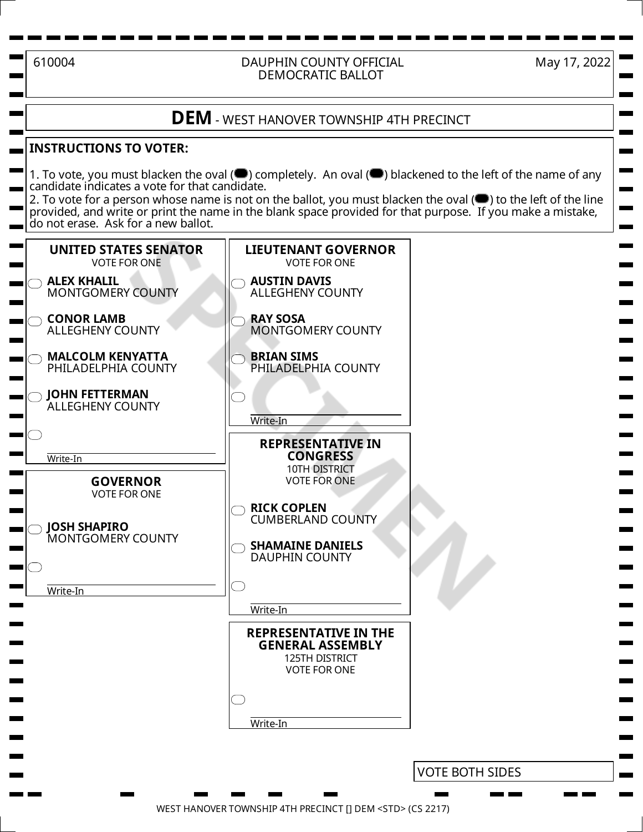## 610004 DAUPHIN COUNTY OFFICIAL DEMOCRATIC BALLOT

May 17, 2022

## **DEM** - WEST HANOVER TOWNSHIP 4TH PRECINCT

## **INSTRUCTIONS TO VOTER:**

1. To vote, you must blacken the oval (O) completely. An oval (O) blackened to the left of the name of any candidate indicates a vote for that candidate.

2. To vote for a person whose name is not on the ballot, you must blacken the oval  $(\blacksquare)$  to the left of the line provided, and write or print the name in the blank space provided for that purpose. If you make a mistake, do not erase. Ask for a new ballot.



VOTE BOTH SIDES